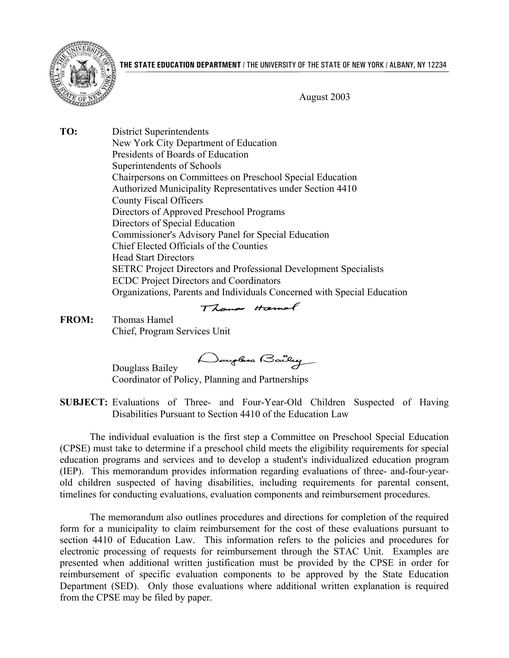



August 2003

**TO:** District Superintendents New York City Department of Education Presidents of Boards of Education Superintendents of Schools Chairpersons on Committees on Preschool Special Education Authorized Municipality Representatives under Section 4410 County Fiscal Officers Directors of Approved Preschool Programs Directors of Special Education Commissioner's Advisory Panel for Special Education Chief Elected Officials of the Counties Head Start Directors SETRC Project Directors and Professional Development Specialists ECDC Project Directors and Coordinators Organizations, Parents and Individuals Concerned with Special Education

# Thomas Hamal

**FROM:** Thomas Hamel Chief, Program Services Unit

Daugloss Bailey

Douglass Bailey Coordinator of Policy, Planning and Partnerships

**SUBJECT:** Evaluations of Three- and Four-Year-Old Children Suspected of Having Disabilities Pursuant to Section 4410 of the Education Law

The individual evaluation is the first step a Committee on Preschool Special Education (CPSE) must take to determine if a preschool child meets the eligibility requirements for special education programs and services and to develop a student's individualized education program (IEP). This memorandum provides information regarding evaluations of three- and-four-yearold children suspected of having disabilities, including requirements for parental consent, timelines for conducting evaluations, evaluation components and reimbursement procedures.

The memorandum also outlines procedures and directions for completion of the required form for a municipality to claim reimbursement for the cost of these evaluations pursuant to section 4410 of Education Law. This information refers to the policies and procedures for electronic processing of requests for reimbursement through the STAC Unit. Examples are presented when additional written justification must be provided by the CPSE in order for reimbursement of specific evaluation components to be approved by the State Education Department (SED). Only those evaluations where additional written explanation is required from the CPSE may be filed by paper.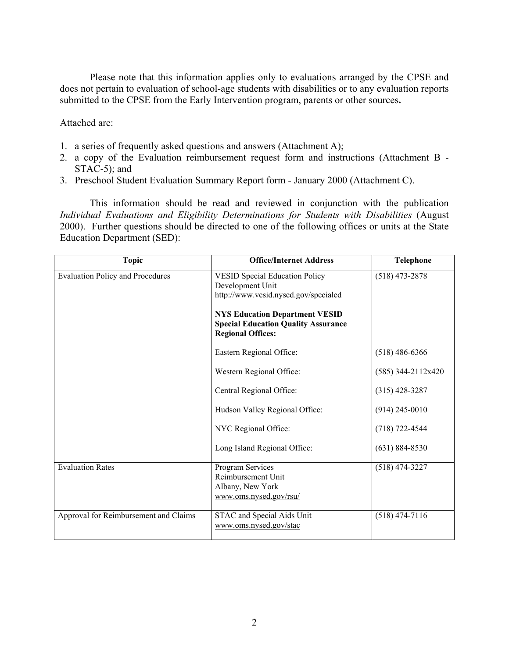Please note that this information applies only to evaluations arranged by the CPSE and does not pertain to evaluation of school-age students with disabilities or to any evaluation reports submitted to the CPSE from the Early Intervention program, parents or other sources**.** 

Attached are:

- 1. a series of frequently asked questions and answers (Attachment A);
- 2. a copy of the Evaluation reimbursement request form and instructions (Attachment B -STAC-5); and
- 3. Preschool Student Evaluation Summary Report form January 2000 (Attachment C).

This information should be read and reviewed in conjunction with the publication *Individual Evaluations and Eligibility Determinations for Students with Disabilities* (August 2000). Further questions should be directed to one of the following offices or units at the State Education Department (SED):

| <b>Topic</b>                            | <b>Office/Internet Address</b>                                                                                                                                                                                       | <b>Telephone</b>     |
|-----------------------------------------|----------------------------------------------------------------------------------------------------------------------------------------------------------------------------------------------------------------------|----------------------|
| <b>Evaluation Policy and Procedures</b> | <b>VESID Special Education Policy</b><br>Development Unit<br>http://www.vesid.nysed.gov/specialed<br><b>NYS Education Department VESID</b><br><b>Special Education Quality Assurance</b><br><b>Regional Offices:</b> | $(518)$ 473-2878     |
|                                         | Eastern Regional Office:                                                                                                                                                                                             | $(518)$ 486-6366     |
|                                         | Western Regional Office:                                                                                                                                                                                             | $(585)$ 344-2112x420 |
|                                         | Central Regional Office:                                                                                                                                                                                             | $(315)$ 428-3287     |
|                                         | Hudson Valley Regional Office:                                                                                                                                                                                       | $(914)$ 245-0010     |
|                                         | NYC Regional Office:                                                                                                                                                                                                 | $(718) 722 - 4544$   |
|                                         | Long Island Regional Office:                                                                                                                                                                                         | $(631) 884 - 8530$   |
| <b>Evaluation Rates</b>                 | Program Services<br>Reimbursement Unit<br>Albany, New York<br>www.oms.nysed.gov/rsu/                                                                                                                                 | $(518)$ 474-3227     |
| Approval for Reimbursement and Claims   | STAC and Special Aids Unit<br>www.oms.nysed.gov/stac                                                                                                                                                                 | $(518)$ 474-7116     |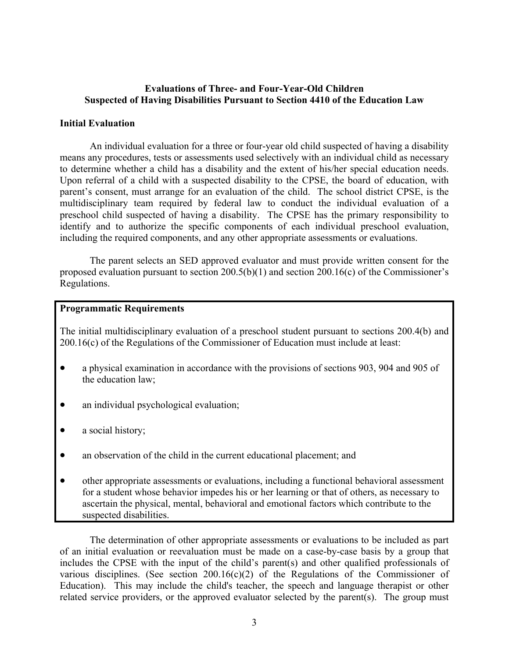#### **Evaluations of Three- and Four-Year-Old Children Suspected of Having Disabilities Pursuant to Section 4410 of the Education Law**

#### **Initial Evaluation**

An individual evaluation for a three or four-year old child suspected of having a disability means any procedures, tests or assessments used selectively with an individual child as necessary to determine whether a child has a disability and the extent of his/her special education needs. Upon referral of a child with a suspected disability to the CPSE, the board of education, with parent's consent, must arrange for an evaluation of the child. The school district CPSE, is the multidisciplinary team required by federal law to conduct the individual evaluation of a preschool child suspected of having a disability. The CPSE has the primary responsibility to identify and to authorize the specific components of each individual preschool evaluation, including the required components, and any other appropriate assessments or evaluations.

The parent selects an SED approved evaluator and must provide written consent for the proposed evaluation pursuant to section 200.5(b)(1) and section 200.16(c) of the Commissioner's Regulations.

#### **Programmatic Requirements**

The initial multidisciplinary evaluation of a preschool student pursuant to sections 200.4(b) and 200.16(c) of the Regulations of the Commissioner of Education must include at least:

- a physical examination in accordance with the provisions of sections 903, 904 and 905 of the education law;
- an individual psychological evaluation;
- a social history;
- an observation of the child in the current educational placement; and
- other appropriate assessments or evaluations, including a functional behavioral assessment for a student whose behavior impedes his or her learning or that of others, as necessary to ascertain the physical, mental, behavioral and emotional factors which contribute to the suspected disabilities.

The determination of other appropriate assessments or evaluations to be included as part of an initial evaluation or reevaluation must be made on a case-by-case basis by a group that includes the CPSE with the input of the child's parent(s) and other qualified professionals of various disciplines. (See section  $200.16(c)(2)$  of the Regulations of the Commissioner of Education). This may include the child's teacher, the speech and language therapist or other related service providers, or the approved evaluator selected by the parent(s). The group must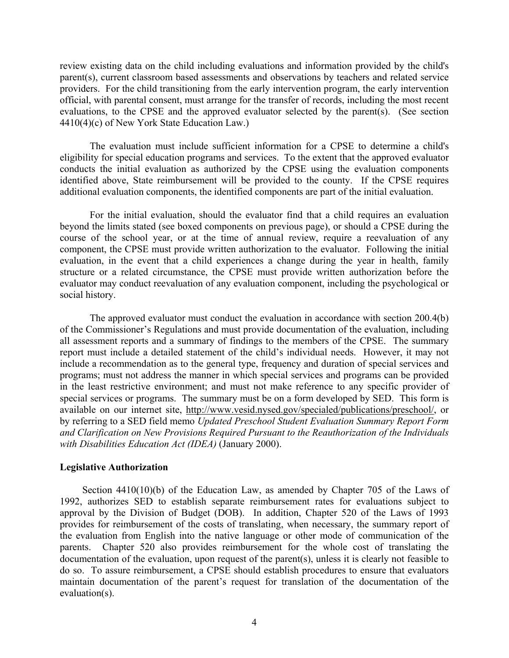review existing data on the child including evaluations and information provided by the child's parent(s), current classroom based assessments and observations by teachers and related service providers. For the child transitioning from the early intervention program, the early intervention official, with parental consent, must arrange for the transfer of records, including the most recent evaluations, to the CPSE and the approved evaluator selected by the parent(s). (See section 4410(4)(c) of New York State Education Law.)

The evaluation must include sufficient information for a CPSE to determine a child's eligibility for special education programs and services. To the extent that the approved evaluator conducts the initial evaluation as authorized by the CPSE using the evaluation components identified above, State reimbursement will be provided to the county. If the CPSE requires additional evaluation components, the identified components are part of the initial evaluation.

For the initial evaluation, should the evaluator find that a child requires an evaluation beyond the limits stated (see boxed components on previous page), or should a CPSE during the course of the school year, or at the time of annual review, require a reevaluation of any component, the CPSE must provide written authorization to the evaluator. Following the initial evaluation, in the event that a child experiences a change during the year in health, family structure or a related circumstance, the CPSE must provide written authorization before the evaluator may conduct reevaluation of any evaluation component, including the psychological or social history.

The approved evaluator must conduct the evaluation in accordance with section 200.4(b) of the Commissioner's Regulations and must provide documentation of the evaluation, including all assessment reports and a summary of findings to the members of the CPSE. The summary report must include a detailed statement of the child's individual needs. However, it may not include a recommendation as to the general type, frequency and duration of special services and programs; must not address the manner in which special services and programs can be provided in the least restrictive environment; and must not make reference to any specific provider of special services or programs. The summary must be on a form developed by SED. This form is available on our internet site, [http://www.vesid.nysed.gov/specialed/publications/preschool/,](http://www.vesid.nysed.gov/specialed/publications/preschool/) or by referring to a SED field memo *Updated Preschool Student Evaluation Summary Report Form and Clarification on New Provisions Required Pursuant to the Reauthorization of the Individuals with Disabilities Education Act (IDEA)* (January 2000).

#### **Legislative Authorization**

Section 4410(10)(b) of the Education Law, as amended by Chapter 705 of the Laws of 1992, authorizes SED to establish separate reimbursement rates for evaluations subject to approval by the Division of Budget (DOB). In addition, Chapter 520 of the Laws of 1993 provides for reimbursement of the costs of translating, when necessary, the summary report of the evaluation from English into the native language or other mode of communication of the parents. Chapter 520 also provides reimbursement for the whole cost of translating the documentation of the evaluation, upon request of the parent(s), unless it is clearly not feasible to do so. To assure reimbursement, a CPSE should establish procedures to ensure that evaluators maintain documentation of the parent's request for translation of the documentation of the evaluation(s).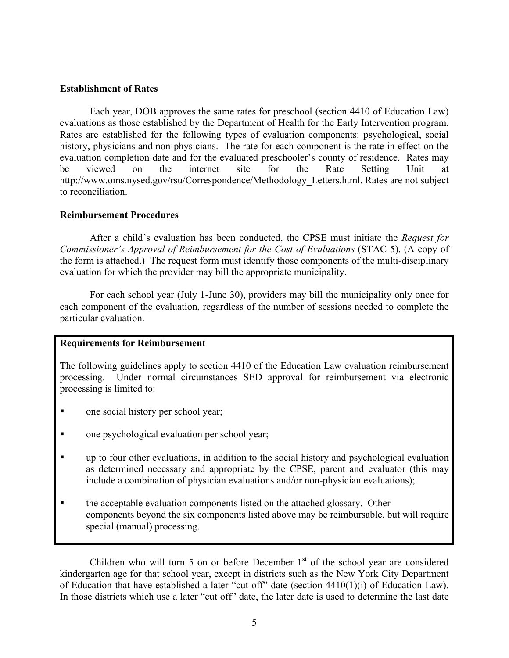#### **Establishment of Rates**

Each year, DOB approves the same rates for preschool (section 4410 of Education Law) evaluations as those established by the Department of Health for the Early Intervention program. Rates are established for the following types of evaluation components: psychological, social history, physicians and non-physicians. The rate for each component is the rate in effect on the evaluation completion date and for the evaluated preschooler's county of residence. Rates may be viewed on the internet site for the Rate Setting Unit at [http://www.oms.nysed.gov/rsu/Correspondence/Methodology\\_Letters.html](http://web1.nysed.gov/psruunit/Correspondence/methdltr.htm). Rates are not subject to reconciliation.

#### **Reimbursement Procedures**

After a child's evaluation has been conducted, the CPSE must initiate the *Request for Commissioner's Approval of Reimbursement for the Cost of Evaluations* (STAC-5). (A copy of the form is attached.) The request form must identify those components of the multi-disciplinary evaluation for which the provider may bill the appropriate municipality.

For each school year (July 1-June 30), providers may bill the municipality only once for each component of the evaluation, regardless of the number of sessions needed to complete the particular evaluation.

#### **Requirements for Reimbursement**

The following guidelines apply to section 4410 of the Education Law evaluation reimbursement processing. Under normal circumstances SED approval for reimbursement via electronic processing is limited to:

- one social history per school year;
- one psychological evaluation per school year;
- up to four other evaluations, in addition to the social history and psychological evaluation as determined necessary and appropriate by the CPSE, parent and evaluator (this may include a combination of physician evaluations and/or non-physician evaluations);
- **the acceptable evaluation components listed on the attached glossary.** Other components beyond the six components listed above may be reimbursable, but will require special (manual) processing.

Children who will turn 5 on or before December  $1<sup>st</sup>$  of the school year are considered kindergarten age for that school year, except in districts such as the New York City Department of Education that have established a later "cut off" date (section  $4410(1)(i)$  of Education Law). In those districts which use a later "cut off" date, the later date is used to determine the last date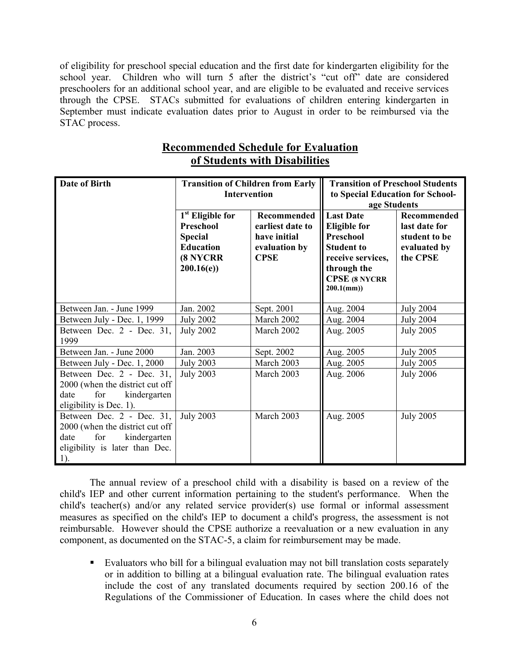of eligibility for preschool special education and the first date for kindergarten eligibility for the school year. Children who will turn 5 after the district's "cut off" date are considered preschoolers for an additional school year, and are eligible to be evaluated and receive services through the CPSE. STACs submitted for evaluations of children entering kindergarten in September must indicate evaluation dates prior to August in order to be reimbursed via the STAC process.

| Date of Birth<br><b>Transition of Children from Early</b><br><b>Intervention</b>                                                     |                                                                                                                 | <b>Transition of Preschool Students</b><br>to Special Education for School-<br>age Students |                                                                                                                                                        |                                                                                  |
|--------------------------------------------------------------------------------------------------------------------------------------|-----------------------------------------------------------------------------------------------------------------|---------------------------------------------------------------------------------------------|--------------------------------------------------------------------------------------------------------------------------------------------------------|----------------------------------------------------------------------------------|
|                                                                                                                                      | 1 <sup>st</sup> Eligible for<br><b>Preschool</b><br><b>Special</b><br><b>Education</b><br>(8 NYCRR<br>200.16(e) | <b>Recommended</b><br>earliest date to<br>have initial<br>evaluation by<br><b>CPSE</b>      | <b>Last Date</b><br><b>Eligible for</b><br>Preschool<br><b>Student to</b><br>receive services,<br>through the<br><b>CPSE (8 NYCRR</b><br>$200.1$ (mm)) | <b>Recommended</b><br>last date for<br>student to be<br>evaluated by<br>the CPSE |
| Between Jan. - June 1999                                                                                                             | Jan. 2002                                                                                                       | Sept. 2001                                                                                  | Aug. 2004                                                                                                                                              | <b>July 2004</b>                                                                 |
| Between July - Dec. 1, 1999                                                                                                          | <b>July 2002</b>                                                                                                | March 2002                                                                                  | Aug. 2004                                                                                                                                              | <b>July 2004</b>                                                                 |
| Between Dec. 2 - Dec. 31,<br>1999                                                                                                    | <b>July 2002</b>                                                                                                | March 2002                                                                                  | Aug. 2005                                                                                                                                              | <b>July 2005</b>                                                                 |
| Between Jan. - June 2000                                                                                                             | Jan. 2003                                                                                                       | Sept. 2002                                                                                  | Aug. 2005                                                                                                                                              | <b>July 2005</b>                                                                 |
| Between July - Dec. 1, 2000                                                                                                          | <b>July 2003</b>                                                                                                | March 2003                                                                                  | Aug. 2005                                                                                                                                              | <b>July 2005</b>                                                                 |
| Between Dec. 2 - Dec. 31,<br>2000 (when the district cut off<br>for<br>kindergarten<br>date<br>eligibility is Dec. 1).               | <b>July 2003</b>                                                                                                | March 2003                                                                                  | Aug. 2006                                                                                                                                              | <b>July 2006</b>                                                                 |
| Between Dec. 2 - Dec. 31,<br>2000 (when the district cut off<br>for<br>kindergarten<br>date<br>eligibility is later than Dec.<br>1). | <b>July 2003</b>                                                                                                | March 2003                                                                                  | Aug. 2005                                                                                                                                              | <b>July 2005</b>                                                                 |

# **Recommended Schedule for Evaluation of Students with Disabilities**

The annual review of a preschool child with a disability is based on a review of the child's IEP and other current information pertaining to the student's performance. When the child's teacher(s) and/or any related service provider(s) use formal or informal assessment measures as specified on the child's IEP to document a child's progress, the assessment is not reimbursable. However should the CPSE authorize a reevaluation or a new evaluation in any component, as documented on the STAC-5, a claim for reimbursement may be made.

 Evaluators who bill for a bilingual evaluation may not bill translation costs separately or in addition to billing at a bilingual evaluation rate. The bilingual evaluation rates include the cost of any translated documents required by section 200.16 of the Regulations of the Commissioner of Education. In cases where the child does not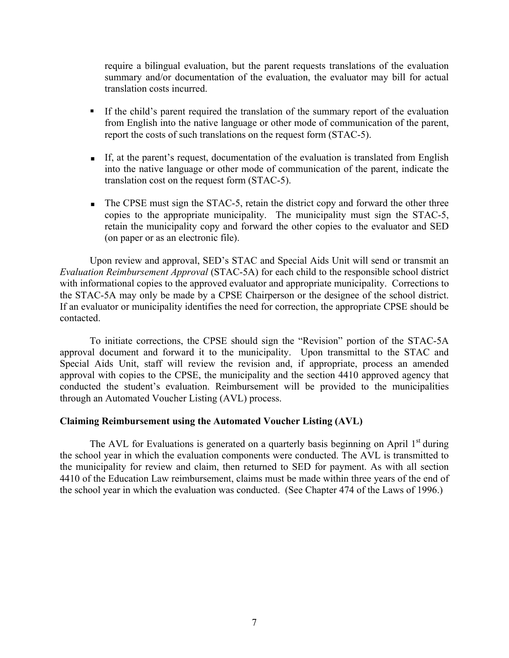require a bilingual evaluation, but the parent requests translations of the evaluation summary and/or documentation of the evaluation, the evaluator may bill for actual translation costs incurred.

- If the child's parent required the translation of the summary report of the evaluation from English into the native language or other mode of communication of the parent, report the costs of such translations on the request form (STAC-5).
- If, at the parent's request, documentation of the evaluation is translated from English into the native language or other mode of communication of the parent, indicate the translation cost on the request form (STAC-5).
- The CPSE must sign the STAC-5, retain the district copy and forward the other three copies to the appropriate municipality. The municipality must sign the STAC-5, retain the municipality copy and forward the other copies to the evaluator and SED (on paper or as an electronic file).

Upon review and approval, SED's STAC and Special Aids Unit will send or transmit an *Evaluation Reimbursement Approval* (STAC-5A) for each child to the responsible school district with informational copies to the approved evaluator and appropriate municipality. Corrections to the STAC-5A may only be made by a CPSE Chairperson or the designee of the school district. If an evaluator or municipality identifies the need for correction, the appropriate CPSE should be contacted.

To initiate corrections, the CPSE should sign the "Revision" portion of the STAC-5A approval document and forward it to the municipality. Upon transmittal to the STAC and Special Aids Unit, staff will review the revision and, if appropriate, process an amended approval with copies to the CPSE, the municipality and the section 4410 approved agency that conducted the student's evaluation. Reimbursement will be provided to the municipalities through an Automated Voucher Listing (AVL) process.

#### **Claiming Reimbursement using the Automated Voucher Listing (AVL)**

The AVL for Evaluations is generated on a quarterly basis beginning on April  $1<sup>st</sup>$  during the school year in which the evaluation components were conducted. The AVL is transmitted to the municipality for review and claim, then returned to SED for payment. As with all section 4410 of the Education Law reimbursement, claims must be made within three years of the end of the school year in which the evaluation was conducted. (See Chapter 474 of the Laws of 1996.)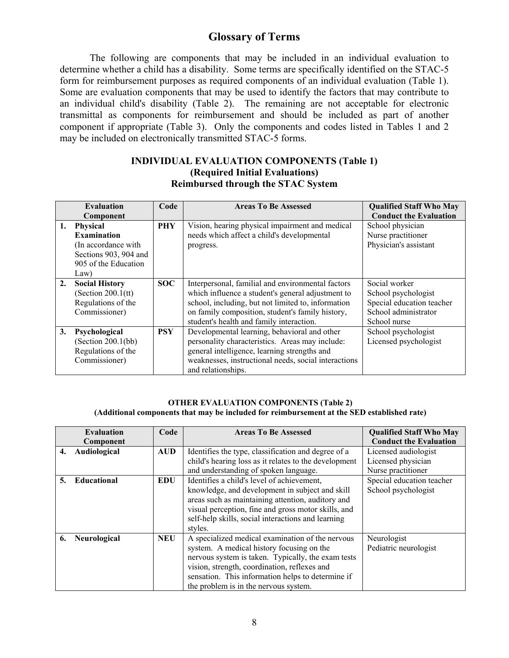## **Glossary of Terms**

The following are components that may be included in an individual evaluation to determine whether a child has a disability. Some terms are specifically identified on the STAC-5 form for reimbursement purposes as required components of an individual evaluation (Table 1). Some are evaluation components that may be used to identify the factors that may contribute to an individual child's disability (Table 2). The remaining are not acceptable for electronic transmittal as components for reimbursement and should be included as part of another component if appropriate (Table 3). Only the components and codes listed in Tables 1 and 2 may be included on electronically transmitted STAC-5 forms.

#### **INDIVIDUAL EVALUATION COMPONENTS (Table 1) (Required Initial Evaluations) Reimbursed through the STAC System**

| <b>Evaluation</b> |                                                                                                                        | Code       | <b>Areas To Be Assessed</b>                                                                                                                                                                                                                                  | <b>Qualified Staff Who May</b>                                                                            |
|-------------------|------------------------------------------------------------------------------------------------------------------------|------------|--------------------------------------------------------------------------------------------------------------------------------------------------------------------------------------------------------------------------------------------------------------|-----------------------------------------------------------------------------------------------------------|
|                   | Component                                                                                                              |            |                                                                                                                                                                                                                                                              | <b>Conduct the Evaluation</b>                                                                             |
| 1.                | <b>Physical</b><br><b>Examination</b><br>(In accordance with)<br>Sections 903, 904 and<br>905 of the Education<br>Law) | <b>PHY</b> | Vision, hearing physical impairment and medical<br>needs which affect a child's developmental<br>progress.                                                                                                                                                   | School physician<br>Nurse practitioner<br>Physician's assistant                                           |
| 2.                | <b>Social History</b><br>(Section $200.1$ (tt)<br>Regulations of the<br>Commissioner)                                  | <b>SOC</b> | Interpersonal, familial and environmental factors<br>which influence a student's general adjustment to<br>school, including, but not limited to, information<br>on family composition, student's family history,<br>student's health and family interaction. | Social worker<br>School psychologist<br>Special education teacher<br>School administrator<br>School nurse |
| 3.                | Psychological<br>(Section 200.1(bb))<br>Regulations of the<br>Commissioner)                                            | <b>PSY</b> | Developmental learning, behavioral and other<br>personality characteristics. Areas may include:<br>general intelligence, learning strengths and<br>weaknesses, instructional needs, social interactions<br>and relationships.                                | School psychologist<br>Licensed psychologist                                                              |

#### **OTHER EVALUATION COMPONENTS (Table 2) (Additional components that may be included for reimbursement at the SED established rate)**

|           | <b>Evaluation</b>   | Code       | <b>Areas To Be Assessed</b>                           | <b>Qualified Staff Who May</b> |
|-----------|---------------------|------------|-------------------------------------------------------|--------------------------------|
| Component |                     |            |                                                       | <b>Conduct the Evaluation</b>  |
| 4.        | Audiological        | <b>AUD</b> | Identifies the type, classification and degree of a   | Licensed audiologist           |
|           |                     |            | child's hearing loss as it relates to the development | Licensed physician             |
|           |                     |            | and understanding of spoken language.                 | Nurse practitioner             |
| 5.        | Educational         | EDU        | Identifies a child's level of achievement,            | Special education teacher      |
|           |                     |            | knowledge, and development in subject and skill       | School psychologist            |
|           |                     |            | areas such as maintaining attention, auditory and     |                                |
|           |                     |            | visual perception, fine and gross motor skills, and   |                                |
|           |                     |            | self-help skills, social interactions and learning    |                                |
|           |                     |            | styles.                                               |                                |
| 6.        | NEU<br>Neurological |            | A specialized medical examination of the nervous      | Neurologist                    |
|           |                     |            | system. A medical history focusing on the             | Pediatric neurologist          |
|           |                     |            | nervous system is taken. Typically, the exam tests    |                                |
|           |                     |            | vision, strength, coordination, reflexes and          |                                |
|           |                     |            | sensation. This information helps to determine if     |                                |
|           |                     |            | the problem is in the nervous system.                 |                                |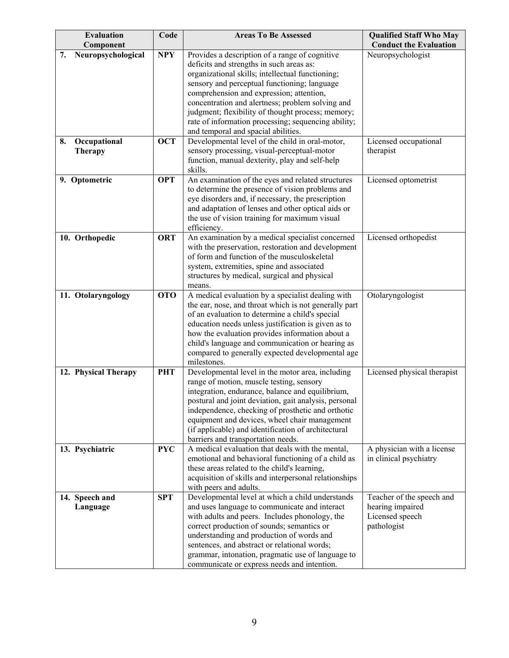| <b>Evaluation</b>                     | Code       | <b>Areas To Be Assessed</b>                                                                          | <b>Qualified Staff Who May</b><br><b>Conduct the Evaluation</b> |
|---------------------------------------|------------|------------------------------------------------------------------------------------------------------|-----------------------------------------------------------------|
| Component<br>Neuropsychological<br>7. | <b>NPY</b> | Provides a description of a range of cognitive                                                       | Neuropsychologist                                               |
|                                       |            | deficits and strengths in such areas as:                                                             |                                                                 |
|                                       |            | organizational skills; intellectual functioning;                                                     |                                                                 |
|                                       |            | sensory and perceptual functioning; language                                                         |                                                                 |
|                                       |            | comprehension and expression; attention,                                                             |                                                                 |
|                                       |            | concentration and alertness; problem solving and                                                     |                                                                 |
|                                       |            | judgment; flexibility of thought process; memory;                                                    |                                                                 |
|                                       |            | rate of information processing; sequencing ability;<br>and temporal and spacial abilities.           |                                                                 |
| Occupational<br>8.                    | <b>OCT</b> | Developmental level of the child in oral-motor,                                                      | Licensed occupational                                           |
| <b>Therapy</b>                        |            | sensory processing, visual-perceptual-motor                                                          | therapist                                                       |
|                                       |            | function, manual dexterity, play and self-help                                                       |                                                                 |
|                                       |            | skills.                                                                                              |                                                                 |
| 9. Optometric                         | <b>OPT</b> | An examination of the eyes and related structures                                                    | Licensed optometrist                                            |
|                                       |            | to determine the presence of vision problems and                                                     |                                                                 |
|                                       |            | eye disorders and, if necessary, the prescription                                                    |                                                                 |
|                                       |            | and adaptation of lenses and other optical aids or<br>the use of vision training for maximum visual  |                                                                 |
|                                       |            | efficiency.                                                                                          |                                                                 |
| 10. Orthopedic                        | <b>ORT</b> | An examination by a medical specialist concerned                                                     | Licensed orthopedist                                            |
|                                       |            | with the preservation, restoration and development                                                   |                                                                 |
|                                       |            | of form and function of the musculoskeletal                                                          |                                                                 |
|                                       |            | system, extremities, spine and associated                                                            |                                                                 |
|                                       |            | structures by medical, surgical and physical<br>means.                                               |                                                                 |
| 11. Otolaryngology                    | <b>OTO</b> | A medical evaluation by a specialist dealing with                                                    | Otolaryngologist                                                |
|                                       |            | the ear, nose, and throat which is not generally part                                                |                                                                 |
|                                       |            | of an evaluation to determine a child's special                                                      |                                                                 |
|                                       |            | education needs unless justification is given as to                                                  |                                                                 |
|                                       |            | how the evaluation provides information about a                                                      |                                                                 |
|                                       |            | child's language and communication or hearing as<br>compared to generally expected developmental age |                                                                 |
|                                       |            | milestones.                                                                                          |                                                                 |
| 12. Physical Therapy                  | <b>PHT</b> | Developmental level in the motor area, including                                                     | Licensed physical therapist                                     |
|                                       |            | range of motion, muscle testing, sensory                                                             |                                                                 |
|                                       |            | integration, endurance, balance and equilibrium,                                                     |                                                                 |
|                                       |            | postural and joint deviation, gait analysis, personal                                                |                                                                 |
|                                       |            | independence, checking of prosthetic and orthotic<br>equipment and devices, wheel chair management   |                                                                 |
|                                       |            | (if applicable) and identification of architectural                                                  |                                                                 |
|                                       |            | barriers and transportation needs.                                                                   |                                                                 |
| 13. Psychiatric                       | <b>PYC</b> | A medical evaluation that deals with the mental,                                                     | A physician with a license                                      |
|                                       |            | emotional and behavioral functioning of a child as                                                   | in clinical psychiatry                                          |
|                                       |            | these areas related to the child's learning,                                                         |                                                                 |
|                                       |            | acquisition of skills and interpersonal relationships                                                |                                                                 |
|                                       |            | with peers and adults.                                                                               |                                                                 |
| 14. Speech and<br>Language            | <b>SPT</b> | Developmental level at which a child understands<br>and uses language to communicate and interact    | Teacher of the speech and<br>hearing impaired                   |
|                                       |            | with adults and peers. Includes phonology, the                                                       | Licensed speech                                                 |
|                                       |            | correct production of sounds; semantics or                                                           | pathologist                                                     |
|                                       |            | understanding and production of words and                                                            |                                                                 |
|                                       |            | sentences, and abstract or relational words;                                                         |                                                                 |
|                                       |            | grammar, intonation, pragmatic use of language to                                                    |                                                                 |
|                                       |            | communicate or express needs and intention.                                                          |                                                                 |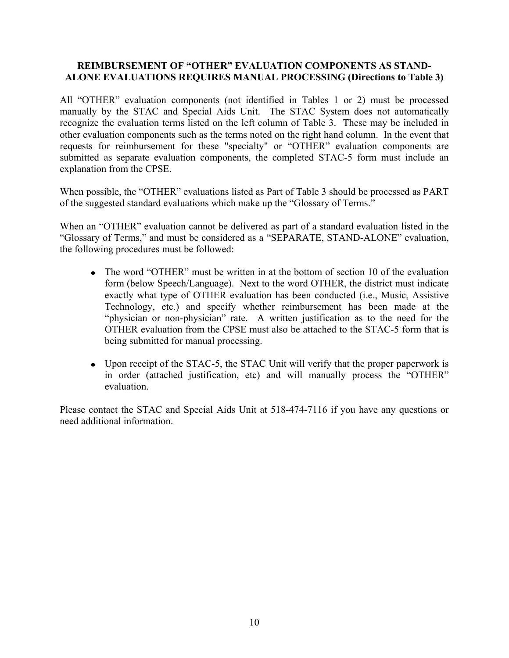#### **REIMBURSEMENT OF "OTHER" EVALUATION COMPONENTS AS STAND-ALONE EVALUATIONS REQUIRES MANUAL PROCESSING (Directions to Table 3)**

All "OTHER" evaluation components (not identified in Tables 1 or 2) must be processed manually by the STAC and Special Aids Unit. The STAC System does not automatically recognize the evaluation terms listed on the left column of Table 3. These may be included in other evaluation components such as the terms noted on the right hand column. In the event that requests for reimbursement for these "specialty" or "OTHER" evaluation components are submitted as separate evaluation components, the completed STAC-5 form must include an explanation from the CPSE.

When possible, the "OTHER" evaluations listed as Part of Table 3 should be processed as PART of the suggested standard evaluations which make up the "Glossary of Terms."

When an "OTHER" evaluation cannot be delivered as part of a standard evaluation listed in the "Glossary of Terms," and must be considered as a "SEPARATE, STAND-ALONE" evaluation, the following procedures must be followed:

- The word "OTHER" must be written in at the bottom of section 10 of the evaluation form (below Speech/Language). Next to the word OTHER, the district must indicate exactly what type of OTHER evaluation has been conducted (i.e., Music, Assistive Technology, etc.) and specify whether reimbursement has been made at the "physician or non-physician" rate. A written justification as to the need for the OTHER evaluation from the CPSE must also be attached to the STAC-5 form that is being submitted for manual processing.
- Upon receipt of the STAC-5, the STAC Unit will verify that the proper paperwork is in order (attached justification, etc) and will manually process the "OTHER" evaluation.

Please contact the STAC and Special Aids Unit at 518-474-7116 if you have any questions or need additional information.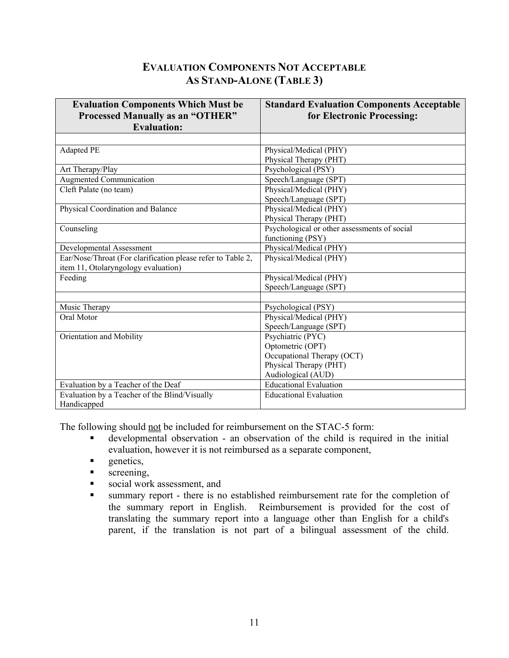# **AS STAND-ALONE (TABLE 3) EVALUATION COMPONENTS NOT ACCEPTABLE**

| <b>Evaluation Components Which Must be</b><br><b>Processed Manually as an "OTHER"</b><br><b>Evaluation:</b> | <b>Standard Evaluation Components Acceptable</b><br>for Electronic Processing: |
|-------------------------------------------------------------------------------------------------------------|--------------------------------------------------------------------------------|
|                                                                                                             |                                                                                |
| Adapted PE                                                                                                  | Physical/Medical (PHY)                                                         |
|                                                                                                             | Physical Therapy (PHT)                                                         |
| Art Therapy/Play                                                                                            | Psychological (PSY)                                                            |
| <b>Augmented Communication</b>                                                                              | Speech/Language (SPT)                                                          |
| Cleft Palate (no team)                                                                                      | Physical/Medical (PHY)                                                         |
|                                                                                                             | Speech/Language (SPT)                                                          |
| Physical Coordination and Balance                                                                           | Physical/Medical (PHY)                                                         |
|                                                                                                             | Physical Therapy (PHT)                                                         |
| Counseling                                                                                                  | Psychological or other assessments of social                                   |
|                                                                                                             | functioning (PSY)                                                              |
| Developmental Assessment                                                                                    | Physical/Medical (PHY)                                                         |
| Ear/Nose/Throat (For clarification please refer to Table 2,                                                 | Physical/Medical (PHY)                                                         |
| item 11, Otolaryngology evaluation)                                                                         |                                                                                |
| Feeding                                                                                                     | Physical/Medical (PHY)                                                         |
|                                                                                                             | Speech/Language (SPT)                                                          |
|                                                                                                             |                                                                                |
| Music Therapy                                                                                               | Psychological (PSY)                                                            |
| Oral Motor                                                                                                  | Physical/Medical (PHY)                                                         |
|                                                                                                             | Speech/Language (SPT)                                                          |
| Orientation and Mobility                                                                                    | Psychiatric (PYC)                                                              |
|                                                                                                             | Optometric (OPT)                                                               |
|                                                                                                             | Occupational Therapy (OCT)                                                     |
|                                                                                                             | Physical Therapy (PHT)                                                         |
|                                                                                                             | Audiological (AUD)                                                             |
| Evaluation by a Teacher of the Deaf                                                                         | <b>Educational Evaluation</b>                                                  |
| Evaluation by a Teacher of the Blind/Visually                                                               | <b>Educational Evaluation</b>                                                  |
| Handicapped                                                                                                 |                                                                                |

The following should not be included for reimbursement on the STAC-5 form:

- developmental observation an observation of the child is required in the initial evaluation, however it is not reimbursed as a separate component,
- **genetics**,
- screening,
- social work assessment, and
- summary report there is no established reimbursement rate for the completion of the summary report in English. Reimbursement is provided for the cost of translating the summary report into a language other than English for a child's parent, if the translation is not part of a bilingual assessment of the child.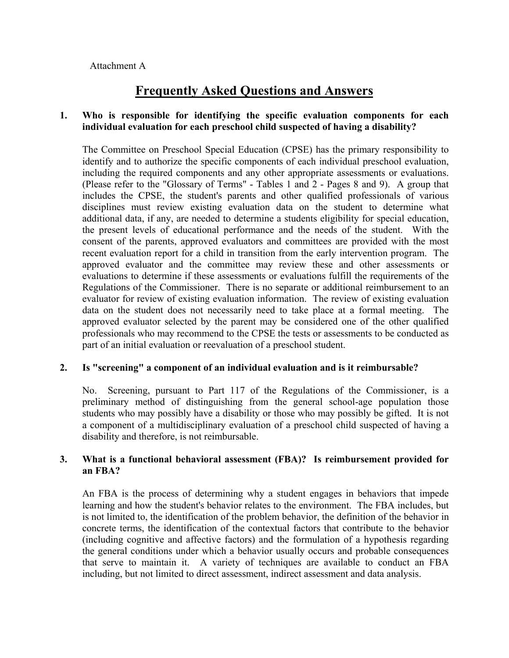# **Frequently Asked Questions and Answers**

#### **1. Who is responsible for identifying the specific evaluation components for each individual evaluation for each preschool child suspected of having a disability?**

The Committee on Preschool Special Education (CPSE) has the primary responsibility to identify and to authorize the specific components of each individual preschool evaluation, including the required components and any other appropriate assessments or evaluations. (Please refer to the "Glossary of Terms" - Tables 1 and 2 - Pages 8 and 9). A group that includes the CPSE, the student's parents and other qualified professionals of various disciplines must review existing evaluation data on the student to determine what additional data, if any, are needed to determine a students eligibility for special education, the present levels of educational performance and the needs of the student. With the consent of the parents, approved evaluators and committees are provided with the most recent evaluation report for a child in transition from the early intervention program. The approved evaluator and the committee may review these and other assessments or evaluations to determine if these assessments or evaluations fulfill the requirements of the Regulations of the Commissioner. There is no separate or additional reimbursement to an evaluator for review of existing evaluation information. The review of existing evaluation data on the student does not necessarily need to take place at a formal meeting. The approved evaluator selected by the parent may be considered one of the other qualified professionals who may recommend to the CPSE the tests or assessments to be conducted as part of an initial evaluation or reevaluation of a preschool student.

#### **2. Is "screening" a component of an individual evaluation and is it reimbursable?**

No. Screening, pursuant to Part 117 of the Regulations of the Commissioner, is a preliminary method of distinguishing from the general school-age population those students who may possibly have a disability or those who may possibly be gifted. It is not a component of a multidisciplinary evaluation of a preschool child suspected of having a disability and therefore, is not reimbursable.

#### **3. What is a functional behavioral assessment (FBA)? Is reimbursement provided for an FBA?**

An FBA is the process of determining why a student engages in behaviors that impede learning and how the student's behavior relates to the environment. The FBA includes, but is not limited to, the identification of the problem behavior, the definition of the behavior in concrete terms, the identification of the contextual factors that contribute to the behavior (including cognitive and affective factors) and the formulation of a hypothesis regarding the general conditions under which a behavior usually occurs and probable consequences that serve to maintain it. A variety of techniques are available to conduct an FBA including, but not limited to direct assessment, indirect assessment and data analysis.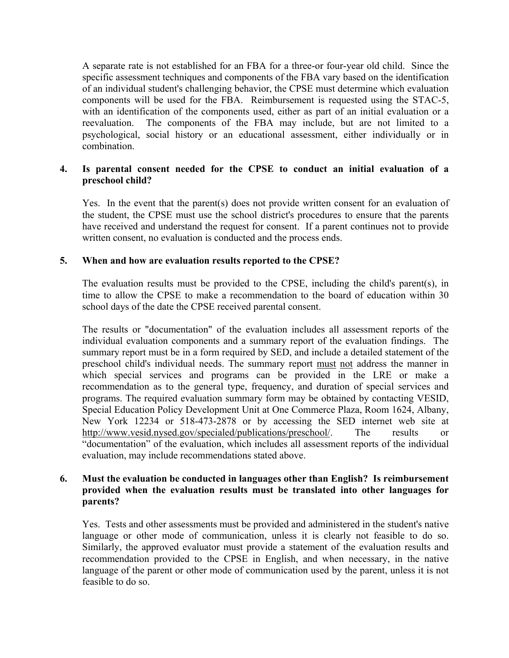A separate rate is not established for an FBA for a three-or four-year old child. Since the specific assessment techniques and components of the FBA vary based on the identification of an individual student's challenging behavior, the CPSE must determine which evaluation components will be used for the FBA. Reimbursement is requested using the STAC-5, with an identification of the components used, either as part of an initial evaluation or a reevaluation. The components of the FBA may include, but are not limited to a psychological, social history or an educational assessment, either individually or in combination.

### **4. Is parental consent needed for the CPSE to conduct an initial evaluation of a preschool child?**

Yes. In the event that the parent(s) does not provide written consent for an evaluation of the student, the CPSE must use the school district's procedures to ensure that the parents have received and understand the request for consent. If a parent continues not to provide written consent, no evaluation is conducted and the process ends.

#### **5. When and how are evaluation results reported to the CPSE?**

The evaluation results must be provided to the CPSE, including the child's parent(s), in time to allow the CPSE to make a recommendation to the board of education within 30 school days of the date the CPSE received parental consent.

The results or "documentation" of the evaluation includes all assessment reports of the individual evaluation components and a summary report of the evaluation findings. The summary report must be in a form required by SED, and include a detailed statement of the preschool child's individual needs. The summary report must not address the manner in which special services and programs can be provided in the LRE or make a recommendation as to the general type, frequency, and duration of special services and programs. The required evaluation summary form may be obtained by contacting VESID, Special Education Policy Development Unit at One Commerce Plaza, Room 1624, Albany, New York 12234 or 518-473-2878 or by accessing the SED internet web site at [http://www.vesid.nysed.gov/specialed/publications/preschool/.](http://www.vesid.nysed.gov/specialed/publications/preschool.html) The results or "documentation" of the evaluation, which includes all assessment reports of the individual evaluation, may include recommendations stated above.

#### **6. Must the evaluation be conducted in languages other than English? Is reimbursement provided when the evaluation results must be translated into other languages for parents?**

Yes. Tests and other assessments must be provided and administered in the student's native language or other mode of communication, unless it is clearly not feasible to do so. Similarly, the approved evaluator must provide a statement of the evaluation results and recommendation provided to the CPSE in English, and when necessary, in the native language of the parent or other mode of communication used by the parent, unless it is not feasible to do so.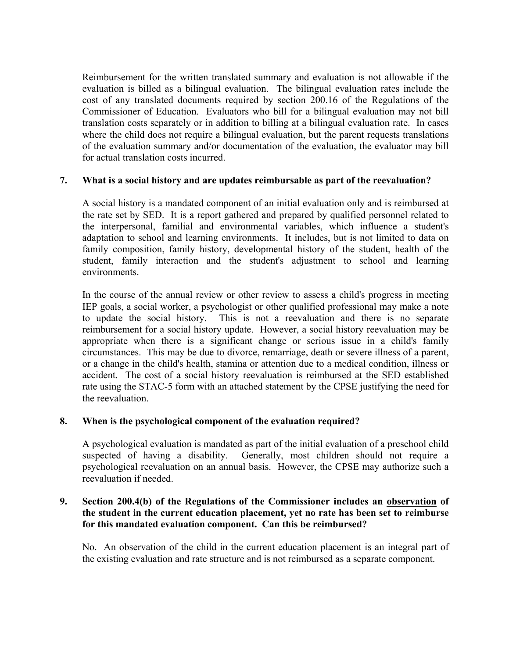Reimbursement for the written translated summary and evaluation is not allowable if the evaluation is billed as a bilingual evaluation. The bilingual evaluation rates include the cost of any translated documents required by section 200.16 of the Regulations of the Commissioner of Education. Evaluators who bill for a bilingual evaluation may not bill translation costs separately or in addition to billing at a bilingual evaluation rate. In cases where the child does not require a bilingual evaluation, but the parent requests translations of the evaluation summary and/or documentation of the evaluation, the evaluator may bill for actual translation costs incurred.

### **7. What is a social history and are updates reimbursable as part of the reevaluation?**

A social history is a mandated component of an initial evaluation only and is reimbursed at the rate set by SED. It is a report gathered and prepared by qualified personnel related to the interpersonal, familial and environmental variables, which influence a student's adaptation to school and learning environments. It includes, but is not limited to data on family composition, family history, developmental history of the student, health of the student, family interaction and the student's adjustment to school and learning environments.

In the course of the annual review or other review to assess a child's progress in meeting IEP goals, a social worker, a psychologist or other qualified professional may make a note to update the social history. This is not a reevaluation and there is no separate reimbursement for a social history update. However, a social history reevaluation may be appropriate when there is a significant change or serious issue in a child's family circumstances. This may be due to divorce, remarriage, death or severe illness of a parent, or a change in the child's health, stamina or attention due to a medical condition, illness or accident. The cost of a social history reevaluation is reimbursed at the SED established rate using the STAC-5 form with an attached statement by the CPSE justifying the need for the reevaluation.

#### **8. When is the psychological component of the evaluation required?**

A psychological evaluation is mandated as part of the initial evaluation of a preschool child suspected of having a disability. Generally, most children should not require a psychological reevaluation on an annual basis. However, the CPSE may authorize such a reevaluation if needed.

#### **9. Section 200.4(b) of the Regulations of the Commissioner includes an observation of the student in the current education placement, yet no rate has been set to reimburse for this mandated evaluation component. Can this be reimbursed?**

No. An observation of the child in the current education placement is an integral part of the existing evaluation and rate structure and is not reimbursed as a separate component.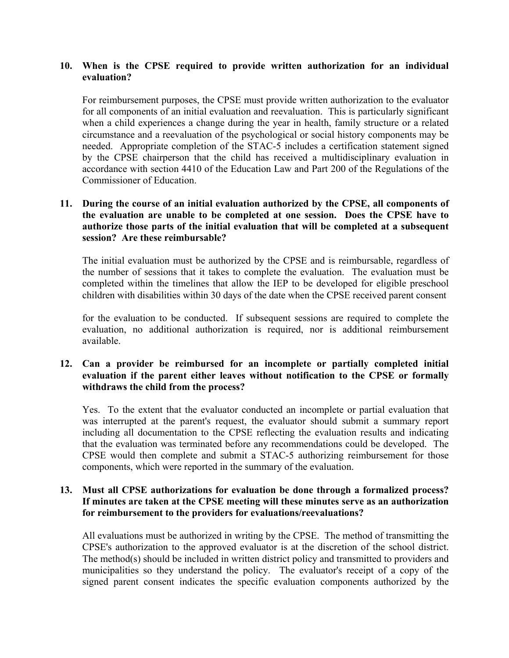#### **10. When is the CPSE required to provide written authorization for an individual evaluation?**

For reimbursement purposes, the CPSE must provide written authorization to the evaluator for all components of an initial evaluation and reevaluation. This is particularly significant when a child experiences a change during the year in health, family structure or a related circumstance and a reevaluation of the psychological or social history components may be needed. Appropriate completion of the STAC-5 includes a certification statement signed by the CPSE chairperson that the child has received a multidisciplinary evaluation in accordance with section 4410 of the Education Law and Part 200 of the Regulations of the Commissioner of Education.

#### **11. During the course of an initial evaluation authorized by the CPSE, all components of the evaluation are unable to be completed at one session. Does the CPSE have to authorize those parts of the initial evaluation that will be completed at a subsequent session? Are these reimbursable?**

The initial evaluation must be authorized by the CPSE and is reimbursable, regardless of the number of sessions that it takes to complete the evaluation. The evaluation must be completed within the timelines that allow the IEP to be developed for eligible preschool children with disabilities within 30 days of the date when the CPSE received parent consent

for the evaluation to be conducted. If subsequent sessions are required to complete the evaluation, no additional authorization is required, nor is additional reimbursement available.

#### **12. Can a provider be reimbursed for an incomplete or partially completed initial evaluation if the parent either leaves without notification to the CPSE or formally withdraws the child from the process?**

Yes. To the extent that the evaluator conducted an incomplete or partial evaluation that was interrupted at the parent's request, the evaluator should submit a summary report including all documentation to the CPSE reflecting the evaluation results and indicating that the evaluation was terminated before any recommendations could be developed. The CPSE would then complete and submit a STAC-5 authorizing reimbursement for those components, which were reported in the summary of the evaluation.

#### **13. Must all CPSE authorizations for evaluation be done through a formalized process? If minutes are taken at the CPSE meeting will these minutes serve as an authorization for reimbursement to the providers for evaluations/reevaluations?**

All evaluations must be authorized in writing by the CPSE. The method of transmitting the CPSE's authorization to the approved evaluator is at the discretion of the school district. The method(s) should be included in written district policy and transmitted to providers and municipalities so they understand the policy. The evaluator's receipt of a copy of the signed parent consent indicates the specific evaluation components authorized by the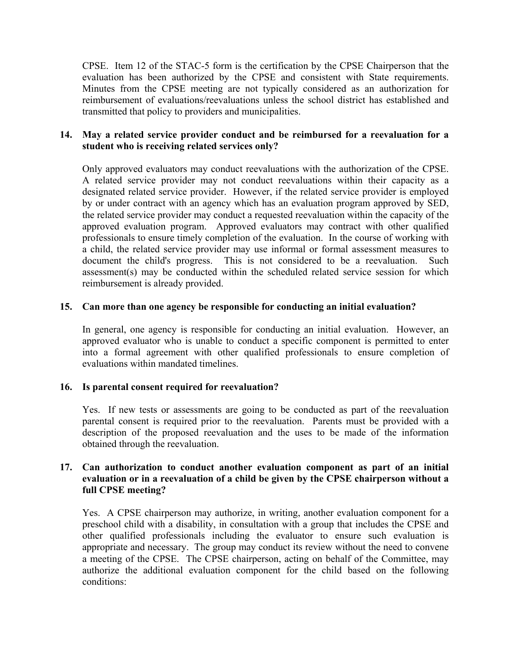CPSE. Item 12 of the STAC-5 form is the certification by the CPSE Chairperson that the evaluation has been authorized by the CPSE and consistent with State requirements. Minutes from the CPSE meeting are not typically considered as an authorization for reimbursement of evaluations/reevaluations unless the school district has established and transmitted that policy to providers and municipalities.

#### **14. May a related service provider conduct and be reimbursed for a reevaluation for a student who is receiving related services only?**

Only approved evaluators may conduct reevaluations with the authorization of the CPSE. A related service provider may not conduct reevaluations within their capacity as a designated related service provider. However, if the related service provider is employed by or under contract with an agency which has an evaluation program approved by SED, the related service provider may conduct a requested reevaluation within the capacity of the approved evaluation program. Approved evaluators may contract with other qualified professionals to ensure timely completion of the evaluation. In the course of working with a child, the related service provider may use informal or formal assessment measures to document the child's progress. This is not considered to be a reevaluation. Such assessment(s) may be conducted within the scheduled related service session for which reimbursement is already provided.

### **15. Can more than one agency be responsible for conducting an initial evaluation?**

In general, one agency is responsible for conducting an initial evaluation. However, an approved evaluator who is unable to conduct a specific component is permitted to enter into a formal agreement with other qualified professionals to ensure completion of evaluations within mandated timelines.

### **16. Is parental consent required for reevaluation?**

Yes. If new tests or assessments are going to be conducted as part of the reevaluation parental consent is required prior to the reevaluation. Parents must be provided with a description of the proposed reevaluation and the uses to be made of the information obtained through the reevaluation.

#### **17. Can authorization to conduct another evaluation component as part of an initial evaluation or in a reevaluation of a child be given by the CPSE chairperson without a full CPSE meeting?**

Yes. A CPSE chairperson may authorize, in writing, another evaluation component for a preschool child with a disability, in consultation with a group that includes the CPSE and other qualified professionals including the evaluator to ensure such evaluation is appropriate and necessary. The group may conduct its review without the need to convene a meeting of the CPSE. The CPSE chairperson, acting on behalf of the Committee, may authorize the additional evaluation component for the child based on the following conditions: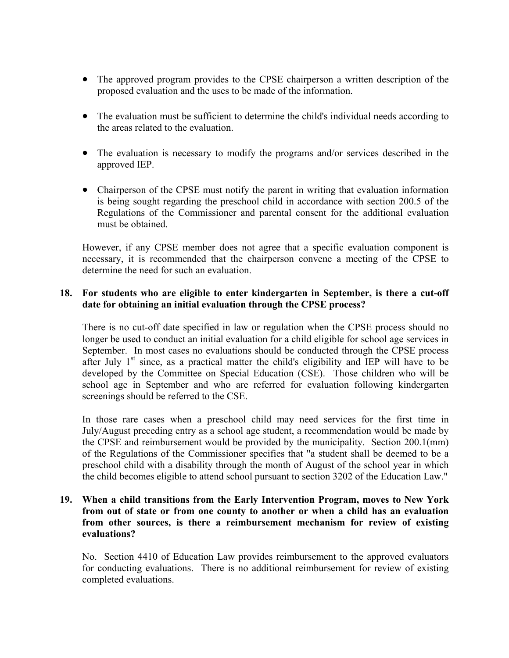- The approved program provides to the CPSE chairperson a written description of the proposed evaluation and the uses to be made of the information.
- The evaluation must be sufficient to determine the child's individual needs according to the areas related to the evaluation.
- The evaluation is necessary to modify the programs and/or services described in the approved IEP.
- Chairperson of the CPSE must notify the parent in writing that evaluation information is being sought regarding the preschool child in accordance with section 200.5 of the Regulations of the Commissioner and parental consent for the additional evaluation must be obtained.

However, if any CPSE member does not agree that a specific evaluation component is necessary, it is recommended that the chairperson convene a meeting of the CPSE to determine the need for such an evaluation.

#### **18. For students who are eligible to enter kindergarten in September, is there a cut-off date for obtaining an initial evaluation through the CPSE process?**

There is no cut-off date specified in law or regulation when the CPSE process should no longer be used to conduct an initial evaluation for a child eligible for school age services in September. In most cases no evaluations should be conducted through the CPSE process after July  $1<sup>st</sup>$  since, as a practical matter the child's eligibility and IEP will have to be developed by the Committee on Special Education (CSE). Those children who will be school age in September and who are referred for evaluation following kindergarten screenings should be referred to the CSE.

In those rare cases when a preschool child may need services for the first time in July/August preceding entry as a school age student, a recommendation would be made by the CPSE and reimbursement would be provided by the municipality. Section 200.1(mm) of the Regulations of the Commissioner specifies that "a student shall be deemed to be a preschool child with a disability through the month of August of the school year in which the child becomes eligible to attend school pursuant to section 3202 of the Education Law."

#### **19. When a child transitions from the Early Intervention Program, moves to New York from out of state or from one county to another or when a child has an evaluation from other sources, is there a reimbursement mechanism for review of existing evaluations?**

No. Section 4410 of Education Law provides reimbursement to the approved evaluators for conducting evaluations. There is no additional reimbursement for review of existing completed evaluations.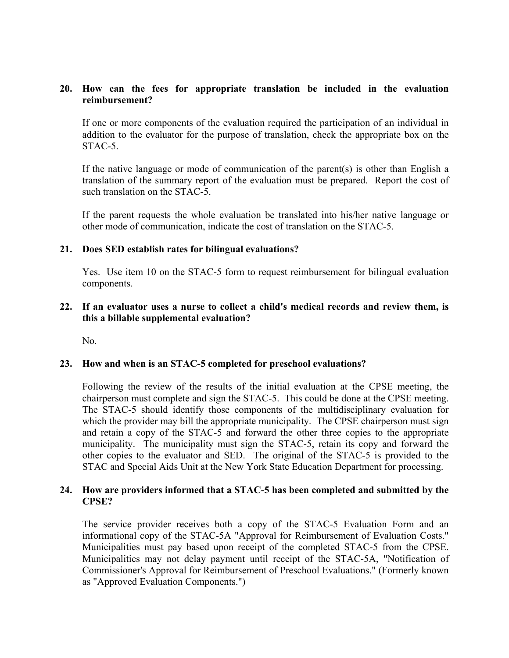#### **20. How can the fees for appropriate translation be included in the evaluation reimbursement?**

If one or more components of the evaluation required the participation of an individual in addition to the evaluator for the purpose of translation, check the appropriate box on the STAC-5.

If the native language or mode of communication of the parent(s) is other than English a translation of the summary report of the evaluation must be prepared. Report the cost of such translation on the STAC-5.

If the parent requests the whole evaluation be translated into his/her native language or other mode of communication, indicate the cost of translation on the STAC-5.

#### **21. Does SED establish rates for bilingual evaluations?**

Yes. Use item 10 on the STAC-5 form to request reimbursement for bilingual evaluation components.

#### **22. If an evaluator uses a nurse to collect a child's medical records and review them, is this a billable supplemental evaluation?**

No.

#### **23. How and when is an STAC-5 completed for preschool evaluations?**

Following the review of the results of the initial evaluation at the CPSE meeting, the chairperson must complete and sign the STAC-5. This could be done at the CPSE meeting. The STAC-5 should identify those components of the multidisciplinary evaluation for which the provider may bill the appropriate municipality. The CPSE chairperson must sign and retain a copy of the STAC-5 and forward the other three copies to the appropriate municipality. The municipality must sign the STAC-5, retain its copy and forward the other copies to the evaluator and SED. The original of the STAC-5 is provided to the STAC and Special Aids Unit at the New York State Education Department for processing.

#### **24. How are providers informed that a STAC-5 has been completed and submitted by the CPSE?**

The service provider receives both a copy of the STAC-5 Evaluation Form and an informational copy of the STAC-5A "Approval for Reimbursement of Evaluation Costs." Municipalities must pay based upon receipt of the completed STAC-5 from the CPSE. Municipalities may not delay payment until receipt of the STAC-5A, "Notification of Commissioner's Approval for Reimbursement of Preschool Evaluations." (Formerly known as "Approved Evaluation Components.")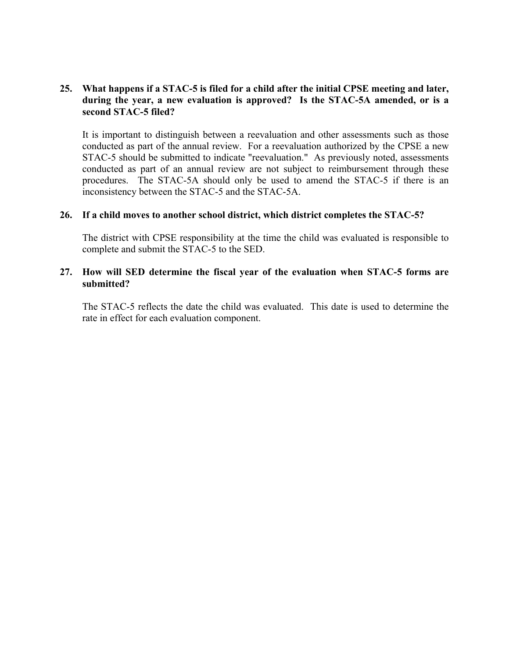#### **25. What happens if a STAC-5 is filed for a child after the initial CPSE meeting and later, during the year, a new evaluation is approved? Is the STAC-5A amended, or is a second STAC-5 filed?**

It is important to distinguish between a reevaluation and other assessments such as those conducted as part of the annual review. For a reevaluation authorized by the CPSE a new STAC-5 should be submitted to indicate "reevaluation." As previously noted, assessments conducted as part of an annual review are not subject to reimbursement through these procedures. The STAC-5A should only be used to amend the STAC-5 if there is an inconsistency between the STAC-5 and the STAC-5A.

#### **26. If a child moves to another school district, which district completes the STAC-5?**

The district with CPSE responsibility at the time the child was evaluated is responsible to complete and submit the STAC-5 to the SED.

#### **27. How will SED determine the fiscal year of the evaluation when STAC-5 forms are submitted?**

The STAC-5 reflects the date the child was evaluated. This date is used to determine the rate in effect for each evaluation component.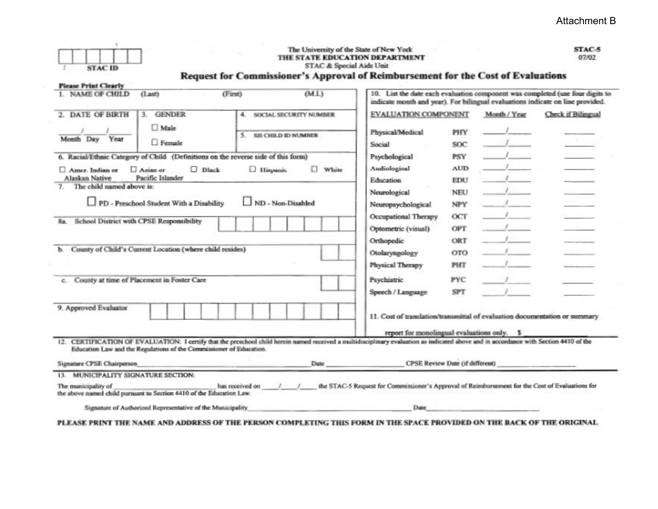| <b>STAC ID</b>                                                                                                                                                                                                                                                                                                                                                                                                                      | Request for Commissioner's Approval of Reimbursement for the Cost of Evaluations | The University of the State of New York<br>THE STATE EDUCATION DEPARTMENT<br>STAC & Special Aids Unit |                                                                                                                                                                                                                                                                   |                                                                                                                     |                                                                                                                                                                               | STAC-5<br>07/02                                                               |
|-------------------------------------------------------------------------------------------------------------------------------------------------------------------------------------------------------------------------------------------------------------------------------------------------------------------------------------------------------------------------------------------------------------------------------------|----------------------------------------------------------------------------------|-------------------------------------------------------------------------------------------------------|-------------------------------------------------------------------------------------------------------------------------------------------------------------------------------------------------------------------------------------------------------------------|---------------------------------------------------------------------------------------------------------------------|-------------------------------------------------------------------------------------------------------------------------------------------------------------------------------|-------------------------------------------------------------------------------|
| <b>Please Print Clearly</b><br>1. NAME OF CHILD<br>(Last)                                                                                                                                                                                                                                                                                                                                                                           | (First)                                                                          | (ML)                                                                                                  | indicate month and year). For bilingual evaluations indicate on line provided.                                                                                                                                                                                    |                                                                                                                     |                                                                                                                                                                               | 10. List the date each evaluation component was completed (use four digits to |
| 2. DATE OF BIRTH<br>3. GENDER<br>Male<br>Month Day Year<br>$\Box$ Female<br>6. Racial/Ethnic Category of Child (Definitions on the reverse side of this form)<br>Asian or<br>Amer. Indian or<br>Alaskan Native<br>Pacific Islander<br>7. The child named above is:<br>PD - Preschool Student With a Disability<br>School District with CPSE Responsibility<br>8a.<br>County of Child's Current Location (where child resides)<br>Ъ. | $\Box$ Dlack<br><b>U</b> Hispanic                                                | 4. SOCIAL SECURITY NUMBER<br>5. SIS CHILD ID NUMBER<br><b>White</b><br>ND - Non-Disabled              | <b>EVALUATION COMPONENT</b><br>Physical/Medical<br>Social<br>Psychological<br>Audiological<br><b>Education</b><br>Neurological<br>Neuropsychological<br>Occupational Therapy<br>Optometric (visual)<br>Orthopedic<br>Otolaryngology<br>Physical Therapy           | PHY<br><b>SOC</b><br><b>PSY</b><br><b>AUD</b><br>EDU<br><b>NEU</b><br>NPY<br>OCT<br>OPT<br>ORT<br><b>OTO</b><br>PHT | Month / Year<br>$\mathbf{1}$<br>$\sim$ $\sim$ $\sim$<br>$\frac{1}{2}$<br>$\mathcal{L} = \mathcal{L}$<br>$\sim$ $\sim$<br>$\mathcal{F}$<br>$-1$<br>$\mathcal{L} = \mathcal{L}$ | Check if Bilingual<br><b>CARD AND</b>                                         |
| County at time of Placement in Foster Care<br>e.                                                                                                                                                                                                                                                                                                                                                                                    |                                                                                  |                                                                                                       | Psychiatric<br>Speech / Language                                                                                                                                                                                                                                  | PYC<br><b>SPT</b>                                                                                                   |                                                                                                                                                                               |                                                                               |
| 9. Approved Evaluator                                                                                                                                                                                                                                                                                                                                                                                                               |                                                                                  |                                                                                                       | 11. Cost of translation/transmittal of evaluation documentation or summary<br>report for monolingual evaluations only. \$                                                                                                                                         |                                                                                                                     |                                                                                                                                                                               |                                                                               |
| 12. CERTIFICATION OF EVALUATION: I certify that the preschool child herein named received a multidisciplinary evaluation as indicated above and in accordance with Section 4410 of the<br>Education Law and the Regulations of the Commissioner of Education.<br>Signature CPSE Chairperson                                                                                                                                         |                                                                                  |                                                                                                       | CPSE Review Date (if different)<br>Date and the contract of the contract of the contract of the contract of the contract of the contract of the contract of the contract of the contract of the contract of the contract of the contract of the contract of the c |                                                                                                                     |                                                                                                                                                                               |                                                                               |
| 13. MUNICIPALITY SIGNATURE SECTION:                                                                                                                                                                                                                                                                                                                                                                                                 |                                                                                  |                                                                                                       |                                                                                                                                                                                                                                                                   |                                                                                                                     |                                                                                                                                                                               |                                                                               |
| The manicipality of<br>the above named child pursuant to Section 4410 of the Education Law.                                                                                                                                                                                                                                                                                                                                         | has received on                                                                  |                                                                                                       | the STAC-5 Request for Commissioner's Approval of Reimbursement for the Cost of Evaluations for                                                                                                                                                                   |                                                                                                                     |                                                                                                                                                                               |                                                                               |
| Signature of Authorized Representative of the Municipality                                                                                                                                                                                                                                                                                                                                                                          |                                                                                  |                                                                                                       | Date                                                                                                                                                                                                                                                              |                                                                                                                     |                                                                                                                                                                               |                                                                               |
| PLEASE PRINT THE NAME AND ADDRESS OF THE PERSON COMPLETING THIS FORM IN THE SPACE PROVIDED ON THE BACK OF THE ORIGINAL                                                                                                                                                                                                                                                                                                              |                                                                                  |                                                                                                       |                                                                                                                                                                                                                                                                   |                                                                                                                     |                                                                                                                                                                               |                                                                               |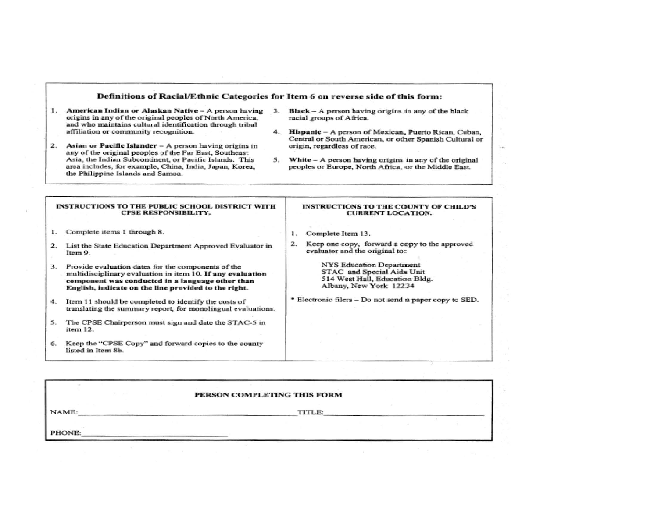#### Definitions of Racial/Ethnic Categories for Item 6 on reverse side of this form:

- 1. American Indian or Alaskan Native A person having 3. origins in any of the original peoples of North America. and who maintains cultural identification through tribal affiliation or community recognition.
- 2. Asian or Pacific Islander A person having origins in any of the original peoples of the Far East, Southeast Asia, the Indian Subcontinent, or Pacific Islands. This area includes, for example, China, India, Japan, Korea, the Philippine Islands and Samoa.
- $Black A$  person having origins in any of the black racial groups of Africa.
- 4. Hispanic A person of Mexican, Puerto Rican, Cuban, Central or South American, or other Spanish Cultural or origin, regardless of race.

i.

5. White - A person having origins in any of the original peoples or Europe, North Africa, or the Middle East.

#### INSTRUCTIONS TO THE PUBLIC SCHOOL DISTRICT WITH CPSE RESPONSIBILITY. 1. Complete items 1 through 8. 2. List the State Education Department Approved Evaluator in Item 9. 3. Provide evaluation dates for the components of the multidisciplinary evaluation in item 10. If any evaluation component was conducted in a language other than English, indicate on the line provided to the right. 4. Item 11 should be completed to identify the costs of translating the summary report, for monolingual evaluations. 5. The CPSE Chairperson must sign and date the STAC-5 in item 12. 6. Keep the "CPSE Copy" and forward copies to the county listed in Item 8b. INSTRUCTIONS TO THE COUNTY OF CHILD'S CURRENT LOCATION. 1. Complete Item 13. 2. Keep one copy, forward a copy to the approved evaluator and the original to: NYS Education Department STAC and Special Aids Unit 514 West Hall, Education Bldg. Albany, New York 12234 \* Electronic filers - Do not send a paper copy to SED.

|        | PERSON COMPLETING THIS FORM |  |  |  |
|--------|-----------------------------|--|--|--|
| NAME:  | TITLE:                      |  |  |  |
| PHONE: |                             |  |  |  |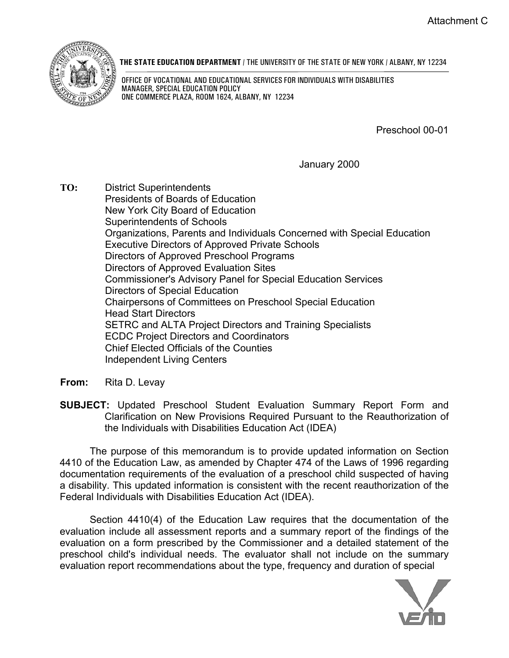

**THE STATE EDUCATION DEPARTMENT** / THE UNIVERSITY OF THE STATE OF NEW YORK / ALBANY, NY 12234

 OFFICE OF VOCATIONAL AND EDUCATIONAL SERVICES FOR INDIVIDUALS WITH DISABILITIES MANAGER, SPECIAL EDUCATION POLICY ONE COMMERCE PLAZA, ROOM 1624, ALBANY, NY 12234

Preschool 00-01

January 2000

- **TO:** District Superintendents Presidents of Boards of Education New York City Board of Education Superintendents of Schools Organizations, Parents and Individuals Concerned with Special Education Executive Directors of Approved Private Schools Directors of Approved Preschool Programs Directors of Approved Evaluation Sites Commissioner's Advisory Panel for Special Education Services Directors of Special Education Chairpersons of Committees on Preschool Special Education Head Start Directors SETRC and ALTA Project Directors and Training Specialists ECDC Project Directors and Coordinators Chief Elected Officials of the Counties Independent Living Centers
- **From:** Rita D. Levay
- **SUBJECT:** Updated Preschool Student Evaluation Summary Report Form and Clarification on New Provisions Required Pursuant to the Reauthorization of the Individuals with Disabilities Education Act (IDEA)

The purpose of this memorandum is to provide updated information on Section 4410 of the Education Law, as amended by Chapter 474 of the Laws of 1996 regarding documentation requirements of the evaluation of a preschool child suspected of having a disability. This updated information is consistent with the recent reauthorization of the Federal Individuals with Disabilities Education Act (IDEA).

Section 4410(4) of the Education Law requires that the documentation of the evaluation include all assessment reports and a summary report of the findings of the evaluation on a form prescribed by the Commissioner and a detailed statement of the preschool child's individual needs. The evaluator shall not include on the summary evaluation report recommendations about the type, frequency and duration of special

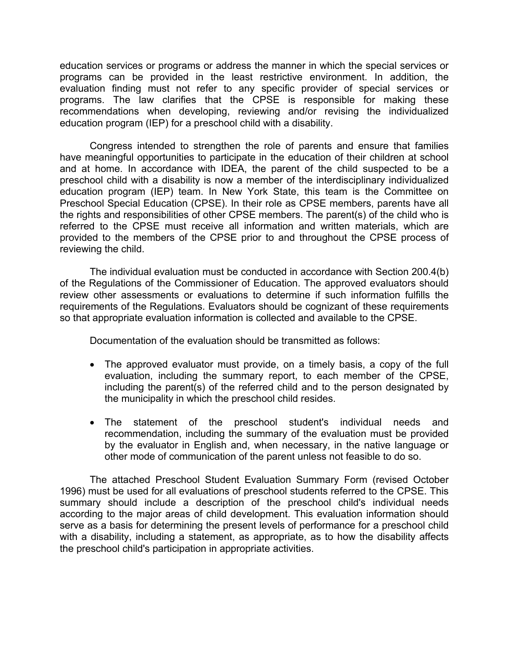education services or programs or address the manner in which the special services or programs can be provided in the least restrictive environment. In addition, the evaluation finding must not refer to any specific provider of special services or programs. The law clarifies that the CPSE is responsible for making these recommendations when developing, reviewing and/or revising the individualized education program (IEP) for a preschool child with a disability.

Congress intended to strengthen the role of parents and ensure that families have meaningful opportunities to participate in the education of their children at school and at home. In accordance with IDEA, the parent of the child suspected to be a preschool child with a disability is now a member of the interdisciplinary individualized education program (IEP) team. In New York State, this team is the Committee on Preschool Special Education (CPSE). In their role as CPSE members, parents have all the rights and responsibilities of other CPSE members. The parent(s) of the child who is referred to the CPSE must receive all information and written materials, which are provided to the members of the CPSE prior to and throughout the CPSE process of reviewing the child.

The individual evaluation must be conducted in accordance with Section 200.4(b) of the Regulations of the Commissioner of Education. The approved evaluators should review other assessments or evaluations to determine if such information fulfills the requirements of the Regulations. Evaluators should be cognizant of these requirements so that appropriate evaluation information is collected and available to the CPSE.

Documentation of the evaluation should be transmitted as follows:

- The approved evaluator must provide, on a timely basis, a copy of the full evaluation, including the summary report, to each member of the CPSE, including the parent(s) of the referred child and to the person designated by the municipality in which the preschool child resides.
- The statement of the preschool student's individual needs and recommendation, including the summary of the evaluation must be provided by the evaluator in English and, when necessary, in the native language or other mode of communication of the parent unless not feasible to do so.

The attached Preschool Student Evaluation Summary Form (revised October 1996) must be used for all evaluations of preschool students referred to the CPSE. This summary should include a description of the preschool child's individual needs according to the major areas of child development. This evaluation information should serve as a basis for determining the present levels of performance for a preschool child with a disability, including a statement, as appropriate, as to how the disability affects the preschool child's participation in appropriate activities.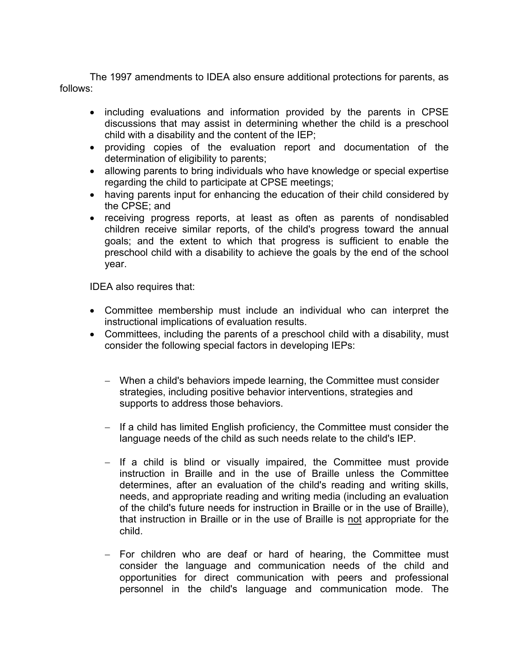The 1997 amendments to IDEA also ensure additional protections for parents, as follows:

- including evaluations and information provided by the parents in CPSE discussions that may assist in determining whether the child is a preschool child with a disability and the content of the IEP;
- providing copies of the evaluation report and documentation of the determination of eligibility to parents;
- allowing parents to bring individuals who have knowledge or special expertise regarding the child to participate at CPSE meetings;
- having parents input for enhancing the education of their child considered by the CPSE; and
- receiving progress reports, at least as often as parents of nondisabled children receive similar reports, of the child's progress toward the annual goals; and the extent to which that progress is sufficient to enable the preschool child with a disability to achieve the goals by the end of the school year.

IDEA also requires that:

- • Committee membership must include an individual who can interpret the instructional implications of evaluation results.
- Committees, including the parents of a preschool child with a disability, must consider the following special factors in developing IEPs:
	- − When a child's behaviors impede learning, the Committee must consider strategies, including positive behavior interventions, strategies and supports to address those behaviors.
	- − If a child has limited English proficiency, the Committee must consider the language needs of the child as such needs relate to the child's IEP.
	- − If a child is blind or visually impaired, the Committee must provide instruction in Braille and in the use of Braille unless the Committee determines, after an evaluation of the child's reading and writing skills, needs, and appropriate reading and writing media (including an evaluation of the child's future needs for instruction in Braille or in the use of Braille), that instruction in Braille or in the use of Braille is not appropriate for the child.
	- − For children who are deaf or hard of hearing, the Committee must consider the language and communication needs of the child and opportunities for direct communication with peers and professional personnel in the child's language and communication mode. The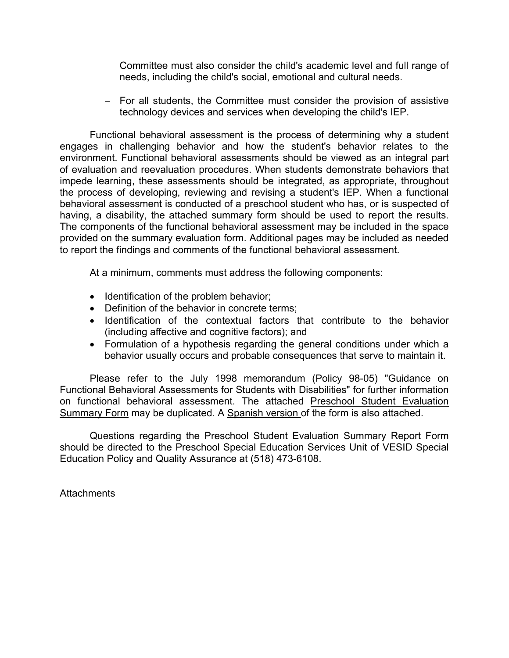Committee must also consider the child's academic level and full range of needs, including the child's social, emotional and cultural needs.

− For all students, the Committee must consider the provision of assistive technology devices and services when developing the child's IEP.

Functional behavioral assessment is the process of determining why a student engages in challenging behavior and how the student's behavior relates to the environment. Functional behavioral assessments should be viewed as an integral part of evaluation and reevaluation procedures. When students demonstrate behaviors that impede learning, these assessments should be integrated, as appropriate, throughout the process of developing, reviewing and revising a student's IEP. When a functional behavioral assessment is conducted of a preschool student who has, or is suspected of having, a disability, the attached summary form should be used to report the results. The components of the functional behavioral assessment may be included in the space provided on the summary evaluation form. Additional pages may be included as needed to report the findings and comments of the functional behavioral assessment.

At a minimum, comments must address the following components:

- Identification of the problem behavior;
- Definition of the behavior in concrete terms:
- • Identification of the contextual factors that contribute to the behavior (including affective and cognitive factors); and
- Formulation of a hypothesis regarding the general conditions under which a behavior usually occurs and probable consequences that serve to maintain it.

Please refer to the July 1998 memorandum (Policy 98-05) "Guidance on Functional Behavioral Assessments for Students with Disabilities" for further information on functional behavioral assessment. The attached [Preschool Student Evaluation](http://www.vesid.nysed.gov/specialed)  [Summary Form](http://www.vesid.nysed.gov/specialed) may be duplicated. A [Spanish version o](http://www.vesid.nysed.gov/specialed)f the form is also attached.

Questions regarding the Preschool Student Evaluation Summary Report Form should be directed to the Preschool Special Education Services Unit of VESID Special Education Policy and Quality Assurance at (518) 473-6108.

**Attachments**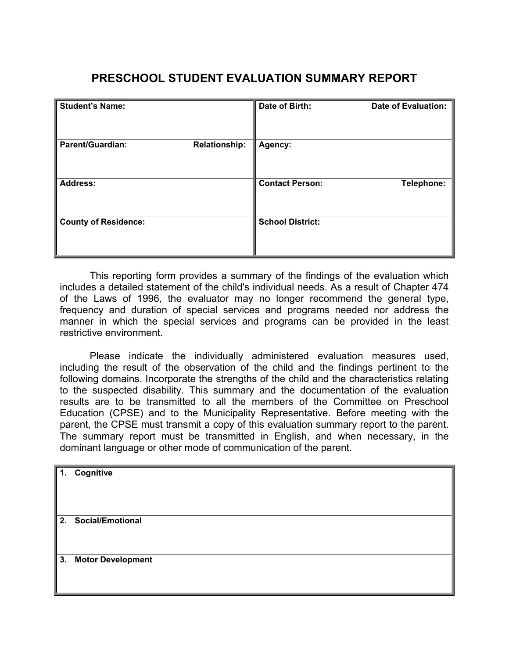# **PRESCHOOL STUDENT EVALUATION SUMMARY REPORT**

| <b>Student's Name:</b>                          | Date of Birth:          | <b>Date of Evaluation:</b> |
|-------------------------------------------------|-------------------------|----------------------------|
| <b>Parent/Guardian:</b><br><b>Relationship:</b> | Agency:                 |                            |
| <b>Address:</b>                                 | <b>Contact Person:</b>  | Telephone:                 |
| <b>County of Residence:</b>                     | <b>School District:</b> |                            |

This reporting form provides a summary of the findings of the evaluation which includes a detailed statement of the child's individual needs. As a result of Chapter 474 of the Laws of 1996, the evaluator may no longer recommend the general type, frequency and duration of special services and programs needed nor address the manner in which the special services and programs can be provided in the least restrictive environment.

Please indicate the individually administered evaluation measures used, including the result of the observation of the child and the findings pertinent to the following domains. Incorporate the strengths of the child and the characteristics relating to the suspected disability. This summary and the documentation of the evaluation results are to be transmitted to all the members of the Committee on Preschool Education (CPSE) and to the Municipality Representative. Before meeting with the parent, the CPSE must transmit a copy of this evaluation summary report to the parent. The summary report must be transmitted in English, and when necessary, in the dominant language or other mode of communication of the parent.

| $\mathbf{1}$ . | Cognitive            |
|----------------|----------------------|
|                |                      |
|                |                      |
|                |                      |
|                | 2. Social/Emotional  |
|                |                      |
|                |                      |
|                | 3. Motor Development |
|                |                      |
|                |                      |
|                |                      |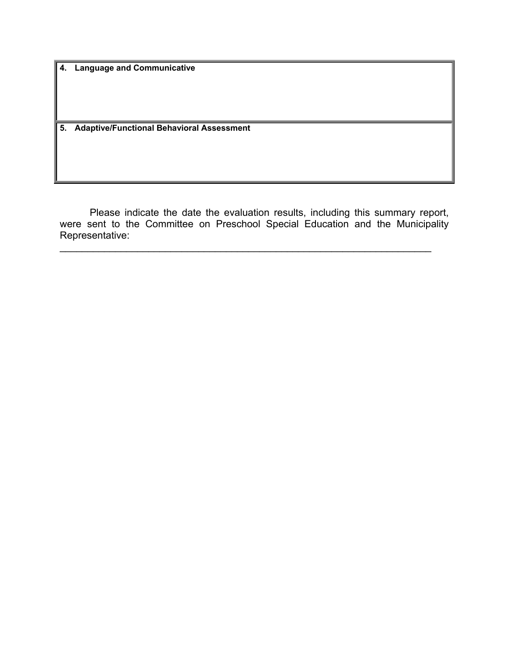**4. Language and Communicative** 

**5. Adaptive/Functional Behavioral Assessment** 

Please indicate the date the evaluation results, including this summary report, were sent to the Committee on Preschool Special Education and the Municipality Representative:

 $\mathcal{L}_\mathcal{L} = \mathcal{L}_\mathcal{L} = \mathcal{L}_\mathcal{L} = \mathcal{L}_\mathcal{L} = \mathcal{L}_\mathcal{L} = \mathcal{L}_\mathcal{L} = \mathcal{L}_\mathcal{L} = \mathcal{L}_\mathcal{L} = \mathcal{L}_\mathcal{L} = \mathcal{L}_\mathcal{L} = \mathcal{L}_\mathcal{L} = \mathcal{L}_\mathcal{L} = \mathcal{L}_\mathcal{L} = \mathcal{L}_\mathcal{L} = \mathcal{L}_\mathcal{L} = \mathcal{L}_\mathcal{L} = \mathcal{L}_\mathcal{L}$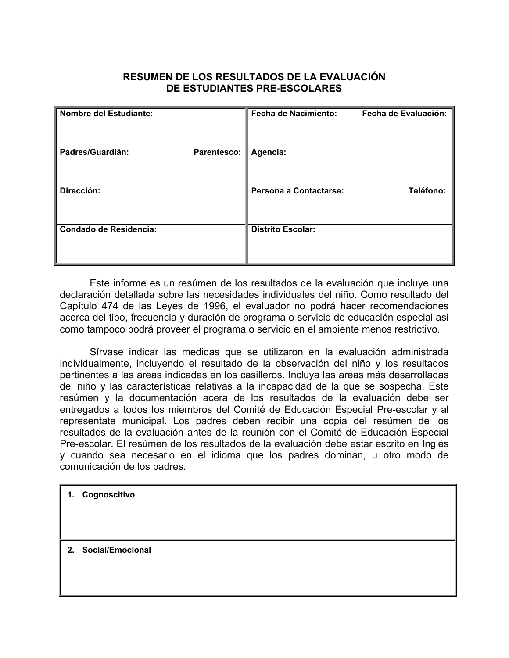## **RESUMEN DE LOS RESULTADOS DE LA EVALUACIÓN DE ESTUDIANTES PRE-ESCOLARES**

| <b>Nombre del Estudiante:</b>   | <b>Fecha de Nacimiento:</b> | Fecha de Evaluación: |
|---------------------------------|-----------------------------|----------------------|
| Padres/Guardián:<br>Parentesco: | Agencia:                    |                      |
| Dirección:                      | Persona a Contactarse:      | Teléfono:            |
| Condado de Residencia:          | <b>Distrito Escolar:</b>    |                      |

Este informe es un resúmen de los resultados de la evaluación que incluye una declaración detallada sobre las necesidades individuales del niño. Como resultado del Capítulo 474 de las Leyes de 1996, el evaluador no podrá hacer recomendaciones acerca del tipo, frecuencia y duración de programa o servicio de educación especial asi como tampoco podrá proveer el programa o servicio en el ambiente menos restrictivo.

Sírvase indicar las medidas que se utilizaron en la evaluación administrada individualmente, incluyendo el resultado de la observación del niño y los resultados pertinentes a las areas indicadas en los casilleros. Incluya las areas más desarrolladas del niño y las características relativas a la incapacidad de la que se sospecha. Este resúmen y la documentación acera de los resultados de la evaluación debe ser entregados a todos los miembros del Comité de Educación Especial Pre-escolar y al representate municipal. Los padres deben recibir una copia del resúmen de los resultados de la evaluación antes de la reunión con el Comité de Educación Especial Pre-escolar. El resúmen de los resultados de la evaluación debe estar escrito en Inglés y cuando sea necesario en el idioma que los padres dominan, u otro modo de comunicación de los padres.

**1. Cognoscitivo** 

**2. Social/Emocional**